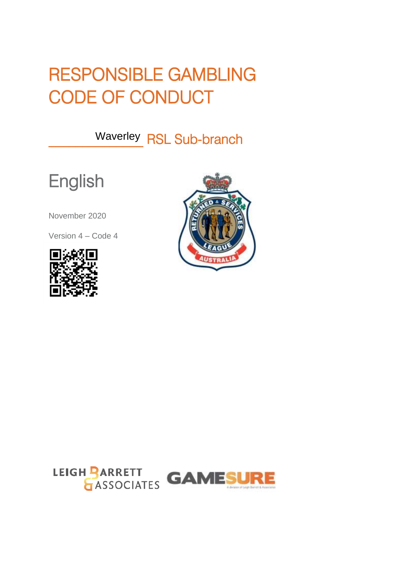# RESPONSIBLE GAMBLING CODE OF CONDUCT

Waverley RSL Sub-branch

# **English**

November 2020

Version 4 – Code 4





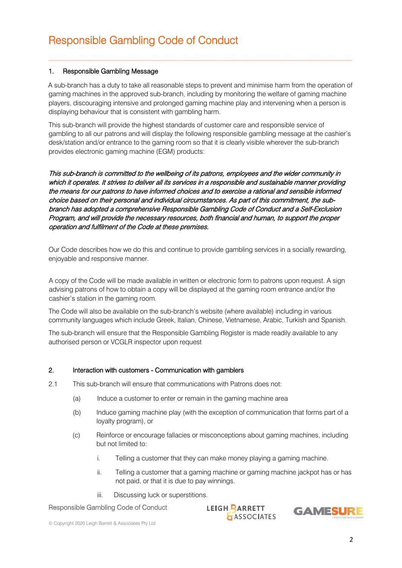### 1. Responsible Gambling Message

A sub-branch has a duty to take all reasonable steps to prevent and minimise harm from the operation of gaming machines in the approved sub-branch, including by monitoring the welfare of gaming machine players, discouraging intensive and prolonged gaming machine play and intervening when a person is displaying behaviour that is consistent with gambling harm.

This sub-branch will provide the highest standards of customer care and responsible service of gambling to all our patrons and will display the following responsible gambling message at the cashier's desk/station and/or entrance to the gaming room so that it is clearly visible wherever the sub-branch provides electronic gaming machine (EGM) products:

This sub-branch is committed to the wellbeing of its patrons, employees and the wider community in which it operates. It strives to deliver all its services in a responsible and sustainable manner providing the means for our patrons to have informed choices and to exercise a rational and sensible informed choice based on their personal and individual circumstances. As part of this commitment, the subbranch has adopted a comprehensive Responsible Gambling Code of Conduct and a Self-Exclusion Program, and will provide the necessary resources, both financial and human, to support the proper operation and fulfilment of the Code at these premises.

Our Code describes how we do this and continue to provide gambling services in a socially rewarding, enjoyable and responsive manner.

A copy of the Code will be made available in written or electronic form to patrons upon request. A sign advising patrons of how to obtain a copy will be displayed at the gaming room entrance and/or the cashier's station in the gaming room.

The Code will also be available on the sub-branch's website (where available) including in various community languages which include Greek, Italian, Chinese, Vietnamese, Arabic, Turkish and Spanish.

 The sub-branch will ensure that the Responsible Gambling Register is made readily available to any authorised person or VCGLR inspector upon request

#### 2. Interaction with customers - Communication with gamblers

- 2.1 This sub-branch will ensure that communications with Patrons does not:
	- (a) Induce a customer to enter or remain in the gaming machine area
	- (b) Induce gaming machine play (with the exception of communication that forms part of a loyalty program), or
	- (c) Reinforce or encourage fallacies or misconceptions about gaming machines, including but not limited to:
		- i. Telling a customer that they can make money playing a gaming machine.
		- ii. Telling a customer that a gaming machine or gaming machine jackpot has or has not paid, or that it is due to pay winnings.
		- iii. Discussing luck or superstitions.

#### Responsible Gambling Code of Conduct

**LEIGH PARRETT ASSOCIATES** 

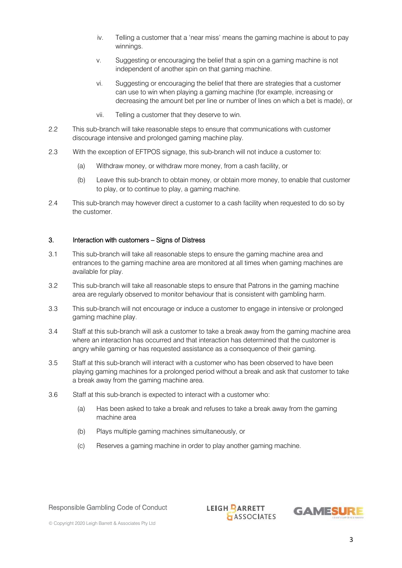- iv. Telling a customer that a 'near miss' means the gaming machine is about to pay winnings.
- v. Suggesting or encouraging the belief that a spin on a gaming machine is not independent of another spin on that gaming machine.
- vi. Suggesting or encouraging the belief that there are strategies that a customer can use to win when playing a gaming machine (for example, increasing or decreasing the amount bet per line or number of lines on which a bet is made), or
- vii. Telling a customer that they deserve to win.
- 2.2 This sub-branch will take reasonable steps to ensure that communications with customer discourage intensive and prolonged gaming machine play.
- 2.3 With the exception of EFTPOS signage, this sub-branch will not induce a customer to:
	- (a) Withdraw money, or withdraw more money, from a cash facility, or
	- (b) Leave this sub-branch to obtain money, or obtain more money, to enable that customer to play, or to continue to play, a gaming machine.
- 2.4 This sub-branch may however direct a customer to a cash facility when requested to do so by the customer.

#### 3. Interaction with customers – Signs of Distress

- 3.1 This sub-branch will take all reasonable steps to ensure the gaming machine area and entrances to the gaming machine area are monitored at all times when gaming machines are available for play.
- 3.2 This sub-branch will take all reasonable steps to ensure that Patrons in the gaming machine area are regularly observed to monitor behaviour that is consistent with gambling harm.
- 3.3 This sub-branch will not encourage or induce a customer to engage in intensive or prolonged gaming machine play.
- 3.4 Staff at this sub-branch will ask a customer to take a break away from the gaming machine area where an interaction has occurred and that interaction has determined that the customer is angry while gaming or has requested assistance as a consequence of their gaming.
- 3.5 Staff at this sub-branch will interact with a customer who has been observed to have been playing gaming machines for a prolonged period without a break and ask that customer to take a break away from the gaming machine area.
- 3.6 Staff at this sub-branch is expected to interact with a customer who:
	- (a) Has been asked to take a break and refuses to take a break away from the gaming machine area
	- (b) Plays multiple gaming machines simultaneously, or
	- (c) Reserves a gaming machine in order to play another gaming machine.

#### Responsible Gambling Code of Conduct

**LEIGH PARRETT ASSOCIATES** 

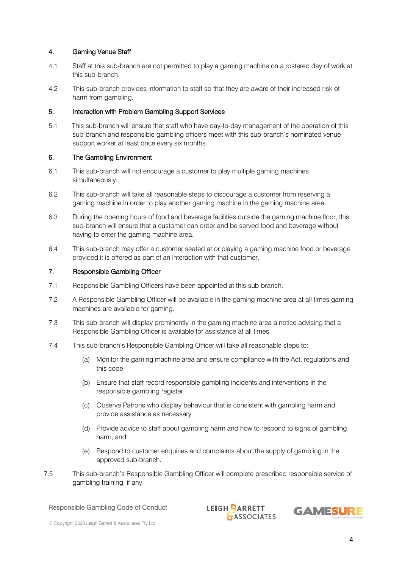# 4. Gaming Venue Staff

- 4.1 Staff at this sub-branch are not permitted to play a gaming machine on a rostered day of work at this sub-branch.
- 4.2 This sub-branch provides information to staff so that they are aware of their increased risk of harm from gambling.

# 5. Interaction with Problem Gambling Support Services

5.1 This sub-branch will ensure that staff who have day-to-day management of the operation of this sub-branch and responsible gambling officers meet with this sub-branch's nominated venue support worker at least once every six months.

## 6. The Gambling Environment

- 6.1 This sub-branch will not encourage a customer to play multiple gaming machines simultaneously.
- 6.2 This sub-branch will take all reasonable steps to discourage a customer from reserving a gaming machine in order to play another gaming machine in the gaming machine area.
- 6.3 During the opening hours of food and beverage facilities outside the gaming machine floor, this sub-branch will ensure that a customer can order and be served food and beverage without having to enter the gaming machine area.
- 6.4 This sub-branch may offer a customer seated at or playing a gaming machine food or beverage provided it is offered as part of an interaction with that customer.

## 7. Responsible Gambling Officer

- 7.1 Responsible Gambling Officers have been appointed at this sub-branch.
- 7.2 A Responsible Gambling Officer will be available in the gaming machine area at all times gaming machines are available for gaming.
- 7.3 This sub-branch will display prominently in the gaming machine area a notice advising that a Responsible Gambling Officer is available for assistance at all times.
- 7.4 This sub-branch's Responsible Gambling Officer will take all reasonable steps to:
	- (a) Monitor the gaming machine area and ensure compliance with the Act, regulations and this code
	- (b) Ensure that staff record responsible gambling incidents and interventions in the responsible gambling register
	- (c) Observe Patrons who display behaviour that is consistent with gambling harm and provide assistance as necessary
	- (d) Provide advice to staff about gambling harm and how to respond to signs of gambling harm, and
	- (e) Respond to customer enquiries and complaints about the supply of gambling in the approved sub-branch.
- 7.5 This sub-branch's Responsible Gambling Officer will complete prescribed responsible service of gambling training, if any.

#### Responsible Gambling Code of Conduct

**LEIGH PARRETT ASSOCIATES** 

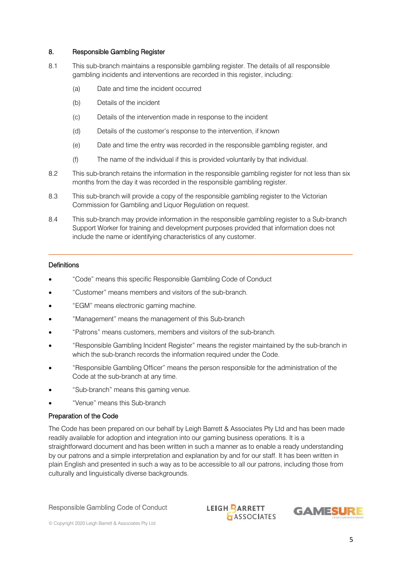## 8. Responsible Gambling Register

- 8.1 This sub-branch maintains a responsible gambling register. The details of all responsible gambling incidents and interventions are recorded in this register, including:
	- (a) Date and time the incident occurred
	- (b) Details of the incident
	- (c) Details of the intervention made in response to the incident
	- (d) Details of the customer's response to the intervention, if known
	- (e) Date and time the entry was recorded in the responsible gambling register, and
	- (f) The name of the individual if this is provided voluntarily by that individual.
- 8.2 This sub-branch retains the information in the responsible gambling register for not less than six months from the day it was recorded in the responsible gambling register.
- 8.3 This sub-branch will provide a copy of the responsible gambling register to the Victorian Commission for Gambling and Liquor Regulation on request.
- 8.4 This sub-branch may provide information in the responsible gambling register to a Sub-branch Support Worker for training and development purposes provided that information does not include the name or identifying characteristics of any customer.

 $\mathcal{L}_\mathcal{L} = \{ \mathcal{L}_\mathcal{L} = \{ \mathcal{L}_\mathcal{L} = \{ \mathcal{L}_\mathcal{L} = \{ \mathcal{L}_\mathcal{L} = \{ \mathcal{L}_\mathcal{L} = \{ \mathcal{L}_\mathcal{L} = \{ \mathcal{L}_\mathcal{L} = \{ \mathcal{L}_\mathcal{L} = \{ \mathcal{L}_\mathcal{L} = \{ \mathcal{L}_\mathcal{L} = \{ \mathcal{L}_\mathcal{L} = \{ \mathcal{L}_\mathcal{L} = \{ \mathcal{L}_\mathcal{L} = \{ \mathcal{L}_\mathcal{$ 

# **Definitions**

- "Code" means this specific Responsible Gambling Code of Conduct
- "Customer" means members and visitors of the sub-branch.
- "EGM" means electronic gaming machine.
- "Management" means the management of this Sub-branch
- "Patrons" means customers, members and visitors of the sub-branch.
- "Responsible Gambling Incident Register" means the register maintained by the sub-branch in which the sub-branch records the information required under the Code.
- "Responsible Gambling Officer" means the person responsible for the administration of the Code at the sub-branch at any time.
- "Sub-branch" means this gaming venue.
- "Venue" means this Sub-branch

#### Preparation of the Code

The Code has been prepared on our behalf by Leigh Barrett & Associates Pty Ltd and has been made readily available for adoption and integration into our gaming business operations. It is a straightforward document and has been written in such a manner as to enable a ready understanding by our patrons and a simple interpretation and explanation by and for our staff. It has been written in plain English and presented in such a way as to be accessible to all our patrons, including those from culturally and linguistically diverse backgrounds.

Responsible Gambling Code of Conduct

**LEIGH PARRETT ASSOCIATES**